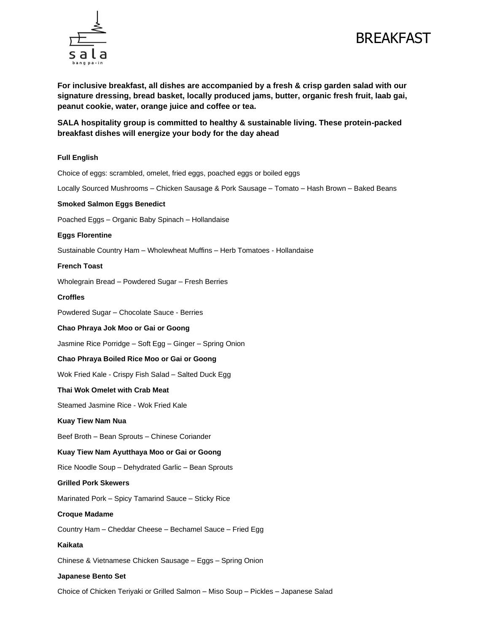



**For inclusive breakfast, all dishes are accompanied by a fresh & crisp garden salad with our signature dressing, bread basket, locally produced jams, butter, organic fresh fruit, laab gai, peanut cookie, water, orange juice and coffee or tea.** 

**SALA hospitality group is committed to healthy & sustainable living. These protein-packed breakfast dishes will energize your body for the day ahead**

# **Full English**

Choice of eggs: scrambled, omelet, fried eggs, poached eggs or boiled eggs

Locally Sourced Mushrooms – Chicken Sausage & Pork Sausage – Tomato – Hash Brown – Baked Beans

#### **Smoked Salmon Eggs Benedict**

Poached Eggs – Organic Baby Spinach – Hollandaise

#### **Eggs Florentine**

Sustainable Country Ham – Wholewheat Muffins – Herb Tomatoes - Hollandaise

#### **French Toast**

Wholegrain Bread – Powdered Sugar – Fresh Berries

#### **Croffles**

Powdered Sugar – Chocolate Sauce - Berries

## **Chao Phraya Jok Moo or Gai or Goong**

Jasmine Rice Porridge – Soft Egg – Ginger – Spring Onion

## **Chao Phraya Boiled Rice Moo or Gai or Goong**

Wok Fried Kale - Crispy Fish Salad – Salted Duck Egg

## **Thai Wok Omelet with Crab Meat**

Steamed Jasmine Rice - Wok Fried Kale

## **Kuay Tiew Nam Nua**

Beef Broth – Bean Sprouts – Chinese Coriander

## **Kuay Tiew Nam Ayutthaya Moo or Gai or Goong**

Rice Noodle Soup – Dehydrated Garlic – Bean Sprouts

#### **Grilled Pork Skewers**

Marinated Pork – Spicy Tamarind Sauce – Sticky Rice

#### **Croque Madame**

Country Ham – Cheddar Cheese – Bechamel Sauce – Fried Egg

# **Kaikata**

Chinese & Vietnamese Chicken Sausage – Eggs – Spring Onion

## **Japanese Bento Set**

Choice of Chicken Teriyaki or Grilled Salmon – Miso Soup – Pickles – Japanese Salad